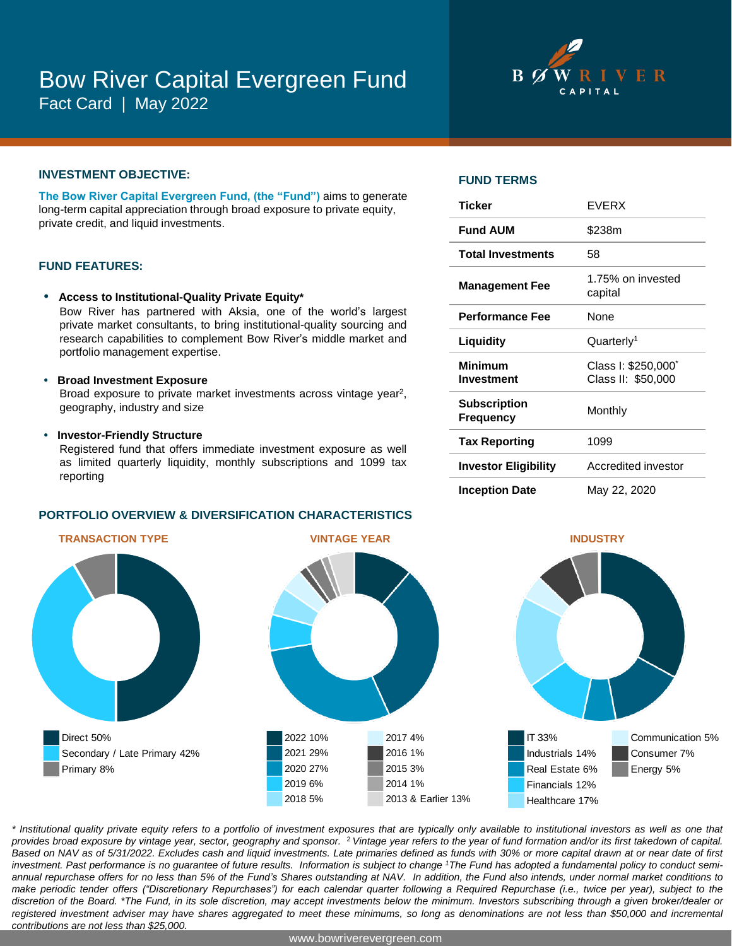# Bow River Capital Evergreen Fund Fact Card | May 2022



### **INVESTMENT OBJECTIVE:**

**The Bow River Capital Evergreen Fund, (the "Fund")** aims to generate long-term capital appreciation through broad exposure to private equity, private credit, and liquid investments.

#### **FUND FEATURES:**

- **• Access to Institutional-Quality Private Equity\*** Bow River has partnered with Aksia, one of the world's largest private market consultants, to bring institutional-quality sourcing and research capabilities to complement Bow River's middle market and portfolio management expertise.
- **• Broad Investment Exposure** Broad exposure to private market investments across vintage year<sup>2</sup>, geography, industry and size
- **• Investor-Friendly Structure**

Registered fund that offers immediate investment exposure as well as limited quarterly liquidity, monthly subscriptions and 1099 tax reporting

#### **PORTFOLIO OVERVIEW & DIVERSIFICATION CHARACTERISTICS**

# Direct 50% Secondary / Late Primary 42% Primary 8%



#### **FUND TERMS**

| <b>Ticker</b>                           | <b>EVERX</b>                                          |
|-----------------------------------------|-------------------------------------------------------|
| <b>Fund AUM</b>                         | \$238m                                                |
| <b>Total Investments</b>                | 58                                                    |
| <b>Management Fee</b>                   | 1.75% on invested<br>capital                          |
| <b>Performance Fee</b>                  | <b>None</b>                                           |
| Liquidity                               | Quarterly <sup>1</sup>                                |
| <b>Minimum</b><br>Investment            | Class I: \$250,000 <sup>*</sup><br>Class II: \$50,000 |
| <b>Subscription</b><br><b>Frequency</b> | Monthly                                               |
| <b>Tax Reporting</b>                    | 1099                                                  |
| <b>Investor Eligibility</b>             | Accredited investor                                   |
| <b>Inception Date</b>                   | May 22, 2020                                          |



\* Institutional quality private equity refers to a portfolio of investment exposures that are typically only available to institutional investors as well as one that provides broad exposure by vintage year, sector, geography and sponsor. <sup>2</sup> Vintage year refers to the year of fund formation and/or its first takedown of capital. Based on NAV as of 5/31/2022. Excludes cash and liquid investments. Late primaries defined as funds with 30% or more capital drawn at or near date of first investment. Past performance is no guarantee of future results. Information is subject to change 1The Fund has adopted a fundamental policy to conduct semiannual repurchase offers for no less than 5% of the Fund's Shares outstanding at NAV. In addition, the Fund also intends, under normal market conditions to make periodic tender offers ("Discretionary Repurchases") for each calendar quarter following a Required Repurchase (i.e., twice per year), subject to the discretion of the Board. \*The Fund, in its sole discretion, may accept investments below the minimum. Investors subscribing through a given broker/dealer or registered investment adviser may have shares aggregated to meet these minimums, so long as denominations are not less than \$50,000 and incremental *contributions are not less than \$25,000.*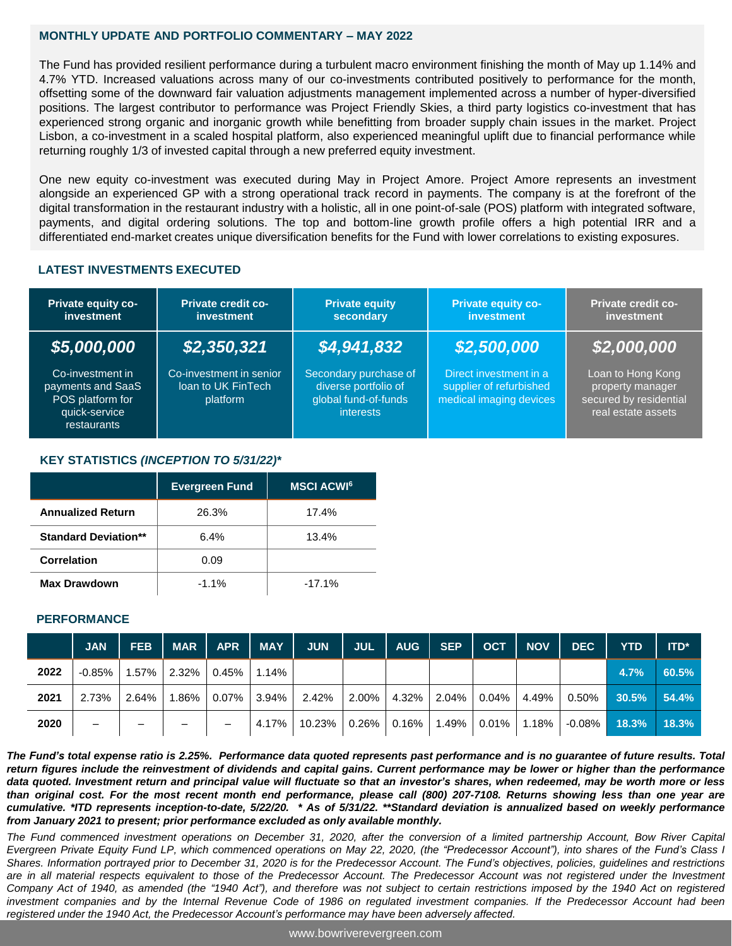### **MONTHLY UPDATE AND PORTFOLIO COMMENTARY – MAY 2022**

The Fund has provided resilient performance during a turbulent macro environment finishing the month of May up 1.14% and 4.7% YTD. Increased valuations across many of our co-investments contributed positively to performance for the month, offsetting some of the downward fair valuation adjustments management implemented across a number of hyper-diversified positions. The largest contributor to performance was Project Friendly Skies, a third party logistics co-investment that has experienced strong organic and inorganic growth while benefitting from broader supply chain issues in the market. Project Lisbon, a co-investment in a scaled hospital platform, also experienced meaningful uplift due to financial performance while returning roughly 1/3 of invested capital through a new preferred equity investment.

One new equity co-investment was executed during May in Project Amore. Project Amore represents an investment alongside an experienced GP with a strong operational track record in payments. The company is at the forefront of the digital transformation in the restaurant industry with a holistic, all in one point-of-sale (POS) platform with integrated software, payments, and digital ordering solutions. The top and bottom-line growth profile offers a high potential IRR and a differentiated end-market creates unique diversification benefits for the Fund with lower correlations to existing exposures.

# **LATEST INVESTMENTS EXECUTED**

| Private equity co-<br>investment                                                          | <b>Private credit co-</b><br>investment                   | <b>Private equity</b><br>secondary                                                        | <b>Private equity co-</b><br><b>investment</b>                               | <b>Private credit co-</b><br>investment                                               |  |  |
|-------------------------------------------------------------------------------------------|-----------------------------------------------------------|-------------------------------------------------------------------------------------------|------------------------------------------------------------------------------|---------------------------------------------------------------------------------------|--|--|
| \$5,000,000                                                                               | \$2,350,321                                               | \$4,941,832                                                                               | \$2,500,000                                                                  | \$2,000,000                                                                           |  |  |
| Co-investment in<br>payments and SaaS<br>POS platform for<br>quick-service<br>restaurants | Co-investment in senior<br>loan to UK FinTech<br>platform | Secondary purchase of<br>diverse portfolio of<br>global fund-of-funds<br><i>interests</i> | Direct investment in a<br>supplier of refurbished<br>medical imaging devices | Loan to Hong Kong<br>property manager<br>secured by residential<br>real estate assets |  |  |

# **KEY STATISTICS** *(INCEPTION TO 5/31/22)\**

|                             | <b>Evergreen Fund</b> | <b>MSCI ACWIG</b> |
|-----------------------------|-----------------------|-------------------|
| <b>Annualized Return</b>    | 26.3%                 | 17.4%             |
| <b>Standard Deviation**</b> | 6.4%                  | 13.4%             |
| <b>Correlation</b>          | 0.09                  |                   |
| <b>Max Drawdown</b>         | $-1.1%$               | $-17.1%$          |

#### **PERFORMANCE**

|      | <b>JAN</b>               | <b>FEB</b>               | MAR   APR                | MAY      | <b>JUN</b>            | JUL <sup>I</sup> | AUG | <b>SEP</b> | OCT | NOV                                      | <b>DEC</b> | <b>YTD</b>            | $ITD^*$ |
|------|--------------------------|--------------------------|--------------------------|----------|-----------------------|------------------|-----|------------|-----|------------------------------------------|------------|-----------------------|---------|
| 2022 | $-0.85\%$                |                          | 1.57% 2.32% 0.45% 1.14%  |          |                       |                  |     |            |     |                                          |            | $4.7\%$               | 60.5%   |
| 2021 | 2.73%                    | $2.64\%$                 | $1.86\%$   0.07%   3.94% |          | $\vert$ 2.42% $\vert$ |                  |     |            |     | $2.00\%$   4.32%   2.04%   0.04%   4.49% |            | $0.50\%$ 30.5% 54.4%  |         |
| 2020 | $\overline{\phantom{0}}$ | $\overline{\phantom{0}}$ |                          | $4.17\%$ | │ 10.23% │ 0.26% │    |                  |     |            |     | │ 0.16% │ 1.49% │ 0.01% │ 1.18% │        |            | $-0.08\%$ 18.3% 18.3% |         |

The Fund's total expense ratio is 2.25%. Performance data quoted represents past performance and is no guarantee of future results. Total return figures include the reinvestment of dividends and capital gains. Current performance may be lower or higher than the performance data quoted. Investment return and principal value will fluctuate so that an investor's shares, when redeemed, may be worth more or less than original cost. For the most recent month end performance, please call (800) 207-7108. Returns showing less than one year are cumulative. \*ITD represents inception-to-date, 5/22/20. \* As of 5/31/22. \*\*Standard deviation is annualized based on weekly performance *from January 2021 to present; prior performance excluded as only available monthly.*

The Fund commenced investment operations on December 31, 2020, after the conversion of a limited partnership Account, Bow River Capital Evergreen Private Equity Fund LP, which commenced operations on May 22, 2020, (the "Predecessor Account"), into shares of the Fund's Class I Shares. Information portrayed prior to December 31, 2020 is for the Predecessor Account. The Fund's objectives, policies, guidelines and restrictions are in all material respects equivalent to those of the Predecessor Account. The Predecessor Account was not registered under the Investment Company Act of 1940, as amended (the "1940 Act"), and therefore was not subject to certain restrictions imposed by the 1940 Act on registered investment companies and by the Internal Revenue Code of 1986 on regulated investment companies. If the Predecessor Account had been *registered under the 1940 Act, the Predecessor Account's performance may have been adversely affected.*